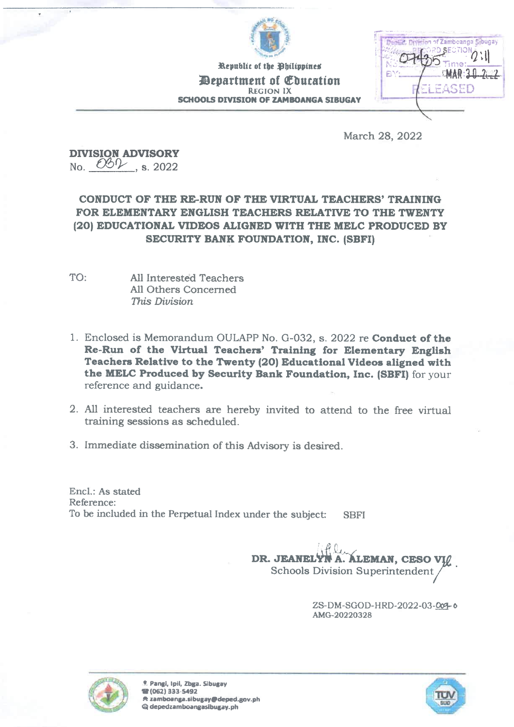

Republic of the Bhilippines *Department of Education* **REGION IX SCHOOLS DIVISION OF ZAMBOANGA SIBUGAY** 

|  | 2. Division of Zamboanga Sibugay<br>PRO SECTION 2 : 1<br>Time: |  |    |
|--|----------------------------------------------------------------|--|----|
|  | MAR: 31.22                                                     |  | ΒY |
|  | FASED                                                          |  |    |
|  |                                                                |  |    |

March 28, 2022

**DIVISION ADVISORY** No.  $00\sqrt{3}$ . s. 2022

## CONDUCT OF THE RE-RUN OF THE VIRTUAL TEACHERS' TRAINING FOR ELEMENTARY ENGLISH TEACHERS RELATIVE TO THE TWENTY (20) EDUCATIONAL VIDEOS ALIGNED WITH THE MELC PRODUCED BY SECURITY BANK FOUNDATION, INC. (SBFI)

- TO: All Interested Teachers All Others Concerned This Division
- 1. Enclosed is Memorandum OULAPP No. G-032, s. 2022 re Conduct of the Re-Run of the Virtual Teachers' Training for Elementary English Teachers Relative to the Twenty (20) Educational Videos aligned with the MELC Produced by Security Bank Foundation, Inc. (SBFI) for your reference and guidance.
- 2. All interested teachers are hereby invited to attend to the free virtual training sessions as scheduled.
- 3. Immediate dissemination of this Advisory is desired.

Encl.: As stated Reference: To be included in the Perpetual Index under the subject: **SBFI** 

> DR. JEANELY **ALEMAN, CESO VIO Schools Division Superintendent**

> > ZS-DM-SGOD-HRD-2022-03-004-0 AMG-20220328



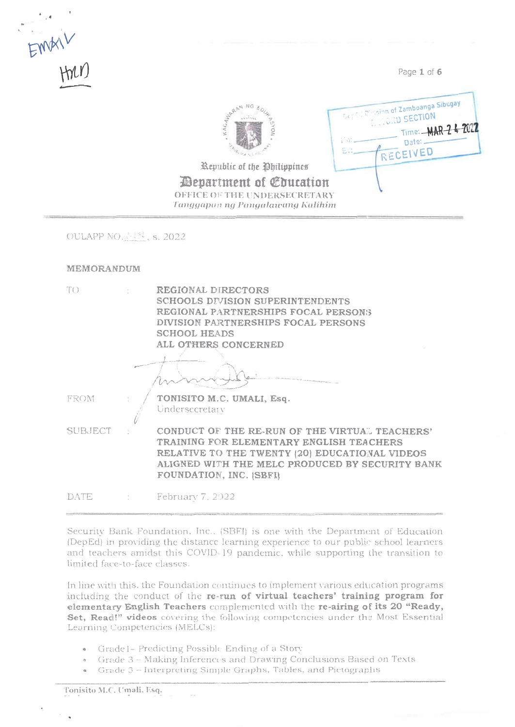

Page 1 of 6

Date: -RECEIVED

Time: -MAR-24-2022

**Deptil Division of Zamboanga Sibugay** 

**RECORD SECTION** 



Republic of the Ohilippines

*Pepartment of Education* OFFICE OF THE UNDERSECRETARY Tanggapan ng Pangalawang Kalihim

OULAPP NO. 34 S. 2022

## MEMORANDUM

| TO.         | REGIONAL DIRECTORS<br><b>SCHOOLS DIVISION SUPERINTENDENTS</b><br>REGIONAL PARTNERSHIPS FOCAL PERSONS<br>DIVISION PARTNERSHIPS FOCAL PERSONS<br><b>SCHOOL HEADS</b><br>ALL OTHERS CONCERNED                                 |
|-------------|----------------------------------------------------------------------------------------------------------------------------------------------------------------------------------------------------------------------------|
| <b>FROM</b> | TONISITO M.C. UMALI, Esq.<br>Undersecretary                                                                                                                                                                                |
| SUBJECT     | CONDUCT OF THE RE-RUN OF THE VIRTUAL TEACHERS'<br>TRAINING FOR ELEMENTARY ENGLISH TEACHERS<br>RELATIVE TO THE TWENTY (20) EDUCATIONAL VIDEOS<br>ALIGNED WITH THE MELC PRODUCED BY SECURITY BANK<br>FOUNDATION, INC. (SBFI) |
| DATE        | February 7, 2022                                                                                                                                                                                                           |

Security Bank Foundation, Inc., (SBFI) is one with the Department of Education (DepEd) in providing the distance learning experience to our public school learners and teachers amidst this COVID-19 pandemic, while supporting the transition to limited face-to-face classes.

In line with this, the Foundation continues to implement various education programs including the conduct of the re-run of virtual teachers' training program for elementary English Teachers complemented with the re-airing of its 20 "Ready, Set, Read!" videos covering the following competencies under the Most Essential Learning Competencies (MELCs):

- Gradel-Predicting Possible Ending of a Story
- Grade 3 Making Inferences and Drawing Conclusions Based on Texts
- Grade 3 Interpreting Simple Graphs, Tables, and Pietographs

Tonisito M.C. Umali, Esq.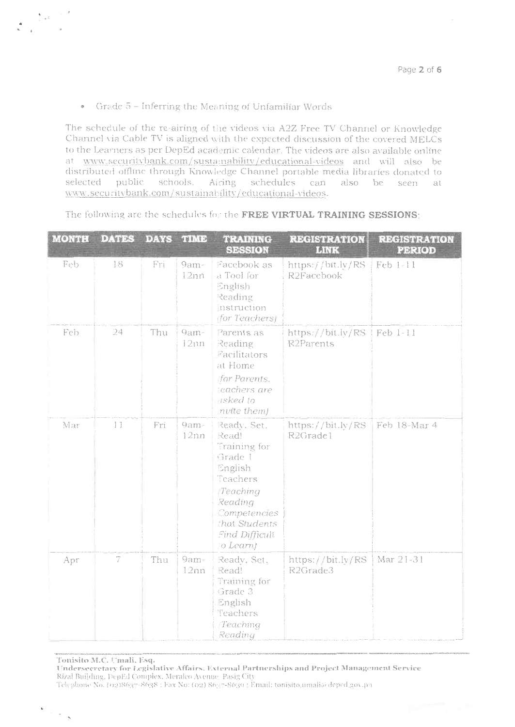## Grade 5 - Inferring the Meaning of Unfamiliar Words  $\circ$

 $\begin{array}{ccccc} &\bullet&\simeq\mathbb{R}^d\\ &\bullet&\mathbb{R}^d\end{array}$ 

 $\sigma \sim \sqrt{2}$ 

The schedule of the re-airing of the videos via A2Z Free TV Channel or Knowledge Channel via Cable TV is aligned with the expected discussion of the covered MELCs to the Learners as per DepEd academic calendar. The videos are also available online at www.securitybank.com/sustainability/educational-videos and will also be distributed offline through Knowledge Channel portable media libraries donated to selected public schools. Airing schedules can also be seen at www.securitybank.com/sustainability/educational-videos.

| <b>MONTH</b> | <b>DATES</b>             | <b>DAYS</b>     | <b>TIME</b>    | <b>TRAINING</b><br><b>SESSION</b>                                                                                                                             | <b>REGISTRATION</b><br><b>LINK</b> | <b>REGISTRATION</b><br><b>PERIOD</b> |
|--------------|--------------------------|-----------------|----------------|---------------------------------------------------------------------------------------------------------------------------------------------------------------|------------------------------------|--------------------------------------|
| Feb          | 18                       | Fri             | 9am-<br>12nn   | Facebook as<br>a Tool for<br>English<br>Reading<br>Instruction<br>(for Teachers)                                                                              | https://bit.ly/RS<br>R2Facebook    | Feb 1-11                             |
| Feb          | 24                       | Thu             | 9am-<br>12nn   | Parents as<br>Reading<br>Facilitators<br>at Home<br>for Parents.<br>teachers are<br>usked to<br>nvite them)                                                   | https://bit.ly/RS<br>R2Parents     | Feb 1-11                             |
| Mar          | 11                       | Fr <sub>1</sub> | 9am-<br>12nn   | Ready, Set.<br>Read!<br>Training for<br>Grade 1<br>English<br>Teachers<br>Teaching<br>Reading<br>Competencies<br>that Students<br>Find Difficult<br>(o Learn) | https://bit.ly/RS<br>R2Grade1      | Feb 18-Mar 4                         |
| Apr          | $\overline{\mathcal{I}}$ | Thu             | $9am-$<br>12nn | Ready, Set.<br>Read!<br>Training for<br>Grade 3<br>English<br>Teachers<br>Teaching<br>Reading                                                                 | https://bit.ly/RS<br>R2Grade3      | Mar 21-31                            |

The following are the schedules fou the FREE VIRTUAL TRAINING SESSIONS:

Tonisito M.C. Umali, Esq.<br>Undersecretary for Legislative Affairs. External Partnerships and Project Management Service Rizal Building, DepEd Complex, Meralco Avenue Pasig City

Telephone No. (02)8637-8638 : Fax No: (02) 86: 7-8630 : Email: tonisito umali@ deped gov.p i